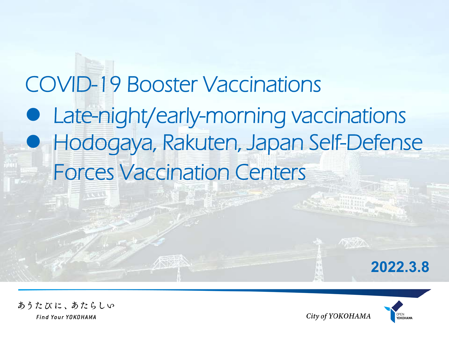# COVID-19 Booster Vaccinations **• Late-night/early-morning vaccinations**  Hodogaya, Rakuten, Japan Self-Defense Forces Vaccination Centers





あうたびに、あたらしい Find Your YOKOHAMA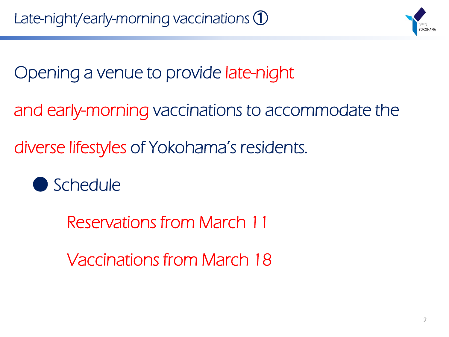

Opening a venue to provide late-night

and early-morning vaccinations to accommodate the

diverse lifestyles of Yokohama's residents.

● Schedule

Reservations from March 11

Vaccinations from March 18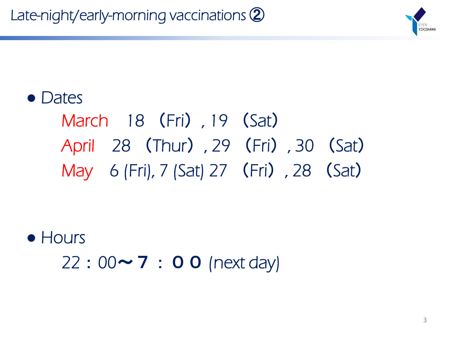Late-night/early-morning vaccinations ②



#### ● Dates

## March 18 (Fri), 19 (Sat) April 28 (Thur), 29 (Fri), 30 (Sat) May 6 (Fri), 7 (Sat) 27 (Fri), 28 (Sat)

**●** Hours  $22:00 \sim 7:00$  (next day)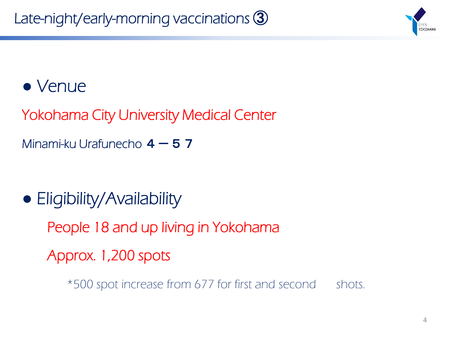

#### ● Venue

Yokohama City University Medical Center

Minami-ku Urafunecho  $4-57$ 

**●** Eligibility/Availability

People 18 and up living in Yokohama

Approx. 1,200 spots

\*500 spot increase from 677 for first and second shots.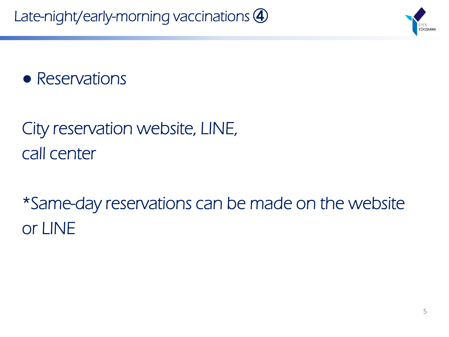

**●** Reservations

### City reservation website, LINE, call center

\*Same-day reservations can be made on the website or LINE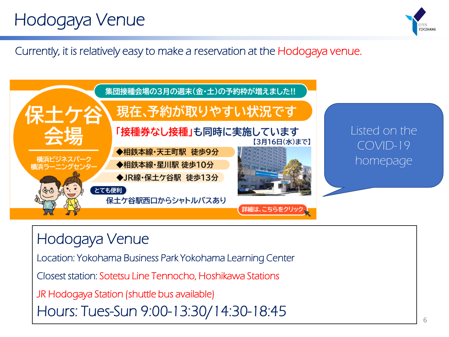### Hodogaya Venue



Currently, it is relatively easy to make a reservation at the Hodogaya venue.



Hodogaya Venue Location: Yokohama Business Park Yokohama Learning Center Closest station: Sotetsu Line Tennocho, Hoshikawa Stations JR Hodogaya Station (shuttle bus available) Hours: Tues-Sun 9:00-13:30/14:30-18:45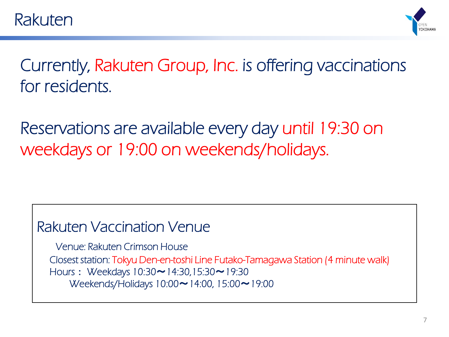

Currently, Rakuten Group, Inc. is offering vaccinations for residents.

Reservations are available every day until 19:30 on weekdays or 19:00 on weekends/holidays.

#### Rakuten Vaccination Venue

Venue: Rakuten Crimson House Closest station: Tokyu Den-en-toshi Line Futako-Tamagawa Station (4 minute walk) Hours: Weekdays 10:30 ~ 14:30,15:30 ~ 19:30 Weekends/Holidays 10:00 ~ 14:00, 15:00 ~ 19:00